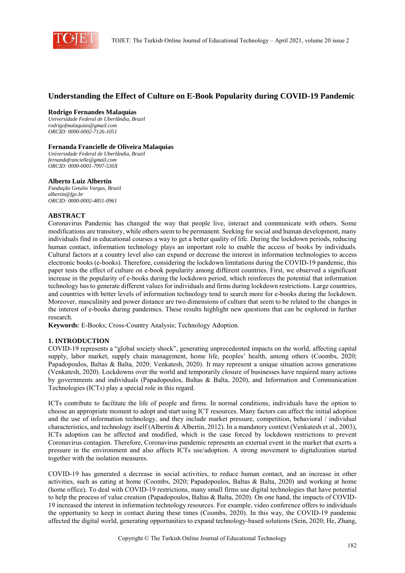

# **Understanding the Effect of Culture on E-Book Popularity during COVID-19 Pandemic**

#### **Rodrigo Fernandes Malaquias**

*Universidade Federal de Uberlândia, Brazil rodrigofmalaquias@gmail.com ORCID: 0000-0002-7126-1051* 

### **Fernanda Francielle de Oliveira Malaquias**

*Universidade Federal de Uberlândia, Brazil fernandafrancielle@gmail.com ORCID: 0000-0001-7997-530X* 

#### **Alberto Luiz Albertin**

*Fundação Getulio Vargas, Brazil albertin@fgv.br ORCID: 0000-0002-4851-0961* 

### **ABSTRACT**

Coronavirus Pandemic has changed the way that people live, interact and communicate with others. Some modifications are transitory, while others seem to be permanent. Seeking for social and human development, many individuals find in educational courses a way to get a better quality of life. During the lockdown periods, reducing human contact, information technology plays an important role to enable the access of books by individuals. Cultural factors at a country level also can expand or decrease the interest in information technologies to access electronic books (e-books). Therefore, considering the lockdown limitations during the COVID-19 pandemic, this paper tests the effect of culture on e-book popularity among different countries. First, we observed a significant increase in the popularity of e-books during the lockdown period, which reinforces the potential that information technology has to generate different values for individuals and firms during lockdown restrictions. Large countries, and countries with better levels of information technology tend to search more for e-books during the lockdown. Moreover, masculinity and power distance are two dimensions of culture that seem to be related to the changes in the interest of e-books during pandemics. These results highlight new questions that can be explored in further research.

**Keywords**: E-Books; Cross-Country Analysis; Technology Adoption.

## **1. INTRODUCTION**

COVID-19 represents a "global society shock", generating unprecedented impacts on the world, affecting capital supply, labor market, supply chain management, home life, peoples' health, among others (Coombs, 2020; Papadopoulos, Baltas & Balta, 2020; Venkatesh, 2020). It may represent a unique situation across generations (Venkatesh, 2020). Lockdowns over the world and temporarily closure of businesses have required many actions by governments and individuals (Papadopoulos, Baltas & Balta, 2020), and Information and Communication Technologies (ICTs) play a special role in this regard.

ICTs contribute to facilitate the life of people and firms. In normal conditions, individuals have the option to choose an appropriate moment to adopt and start using ICT resources. Many factors can affect the initial adoption and the use of information technology, and they include market pressure, competition, behavioral / individual characteristics, and technology itself (Albertin & Albertin, 2012). In a mandatory context (Venkatesh et al., 2003), ICTs adoption can be affected and modified, which is the case forced by lockdown restrictions to prevent Coronavirus contagion. Therefore, Coronavirus pandemic represents an external event in the market that exerts a pressure in the environment and also affects ICTs use/adoption. A strong movement to digitalization started together with the isolation measures.

COVID-19 has generated a decrease in social activities, to reduce human contact, and an increase in other activities, such as eating at home (Coombs, 2020; Papadopoulos, Baltas & Balta, 2020) and working at home (home office). To deal with COVID-19 restrictions, many small firms use digital technologies that have potential to help the process of value creation (Papadopoulos, Baltas & Balta, 2020). On one hand, the impacts of COVID-19 increased the interest in information technology resources. For example, video conference offers to individuals the opportunity to keep in contact during these times (Coombs, 2020). In this way, the COVID-19 pandemic affected the digital world, generating opportunities to expand technology-based solutions (Sein, 2020; He, Zhang,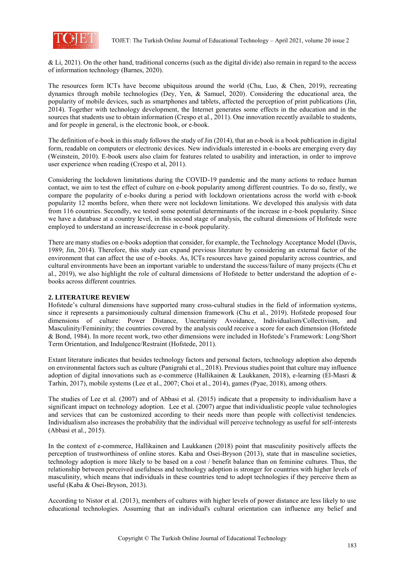

& Li, 2021). On the other hand, traditional concerns (such as the digital divide) also remain in regard to the access of information technology (Barnes, 2020).

The resources form ICTs have become ubiquitous around the world (Chu, Luo, & Chen, 2019), recreating dynamics through mobile technologies (Dey, Yen, & Samuel, 2020). Considering the educational area, the popularity of mobile devices, such as smartphones and tablets, affected the perception of print publications (Jin, 2014). Together with technology development, the Internet generates some effects in the education and in the sources that students use to obtain information (Crespo et al., 2011). One innovation recently available to students, and for people in general, is the electronic book, or e-book.

The definition of e-book in this study follows the study of Jin (2014), that an e-book is a book publication in digital form, readable on computers or electronic devices. New individuals interested in e-books are emerging every day (Weinstein, 2010). E-book users also claim for features related to usability and interaction, in order to improve user experience when reading (Crespo et al, 2011).

Considering the lockdown limitations during the COVID-19 pandemic and the many actions to reduce human contact, we aim to test the effect of culture on e-book popularity among different countries. To do so, firstly, we compare the popularity of e-books during a period with lockdown orientations across the world with e-book popularity 12 months before, when there were not lockdown limitations. We developed this analysis with data from 116 countries. Secondly, we tested some potential determinants of the increase in e-book popularity. Since we have a database at a country level, in this second stage of analysis, the cultural dimensions of Hofstede were employed to understand an increase/decrease in e-book popularity.

There are many studies on e-books adoption that consider, for example, the Technology Acceptance Model (Davis, 1989; Jin, 2014). Therefore, this study can expand previous literature by considering an external factor of the environment that can affect the use of e-books. As, ICTs resources have gained popularity across countries, and cultural environments have been an important variable to understand the success/failure of many projects (Chu et al., 2019), we also highlight the role of cultural dimensions of Hofstede to better understand the adoption of ebooks across different countries.

## **2. LITERATURE REVIEW**

Hofstede's cultural dimensions have supported many cross-cultural studies in the field of information systems, since it represents a parsimoniously cultural dimension framework (Chu et al., 2019). Hofstede proposed four dimensions of culture: Power Distance, Uncertainty Avoidance, Individualism/Collectivism, and Masculinity/Femininity; the countries covered by the analysis could receive a score for each dimension (Hofstede & Bond, 1984). In more recent work, two other dimensions were included in Hofstede's Framework: Long/Short Term Orientation, and Indulgence/Restraint (Hofstede, 2011).

Extant literature indicates that besides technology factors and personal factors, technology adoption also depends on environmental factors such as culture (Panigrahi et al., 2018). Previous studies point that culture may influence adoption of digital innovations such as e-commerce (Hallikainen & Laukkanen, 2018), e-learning (El-Masri & Tarhin, 2017), mobile systems (Lee et al., 2007; Choi et al., 2014), games (Pyae, 2018), among others.

The studies of Lee et al. (2007) and of Abbasi et al. (2015) indicate that a propensity to individualism have a significant impact on technology adoption. Lee et al. (2007) argue that individualistic people value technologies and services that can be customized according to their needs more than people with collectivist tendencies. Individualism also increases the probability that the individual will perceive technology as useful for self-interests (Abbasi et al., 2015).

In the context of e-commerce, Hallikainen and Laukkanen (2018) point that masculinity positively affects the perception of trustworthiness of online stores. Kaba and Osei-Bryson (2013), state that in masculine societies, technology adoption is more likely to be based on a cost / benefit balance than on feminine cultures. Thus, the relationship between perceived usefulness and technology adoption is stronger for countries with higher levels of masculinity, which means that individuals in these countries tend to adopt technologies if they perceive them as useful (Kaba & Osei-Bryson, 2013).

According to Nistor et al. (2013), members of cultures with higher levels of power distance are less likely to use educational technologies. Assuming that an individual's cultural orientation can influence any belief and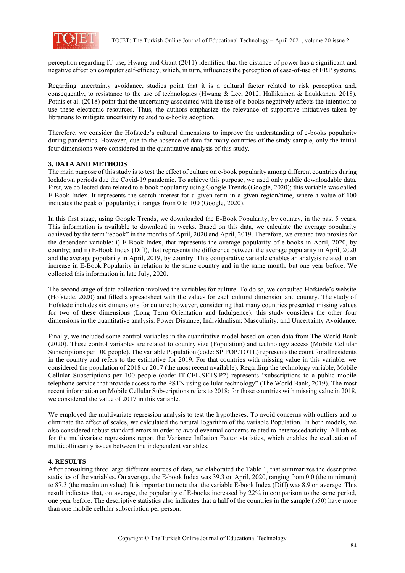

perception regarding IT use, Hwang and Grant (2011) identified that the distance of power has a significant and negative effect on computer self-efficacy, which, in turn, influences the perception of ease-of-use of ERP systems.

Regarding uncertainty avoidance, studies point that it is a cultural factor related to risk perception and, consequently, to resistance to the use of technologies (Hwang & Lee, 2012; Hallikainen & Laukkanen, 2018). Potnis et al. (2018) point that the uncertainty associated with the use of e-books negatively affects the intention to use these electronic resources. Thus, the authors emphasize the relevance of supportive initiatives taken by librarians to mitigate uncertainty related to e-books adoption.

Therefore, we consider the Hofstede's cultural dimensions to improve the understanding of e-books popularity during pandemics. However, due to the absence of data for many countries of the study sample, only the initial four dimensions were considered in the quantitative analysis of this study.

## **3. DATA AND METHODS**

The main purpose of this study is to test the effect of culture on e-book popularity among different countries during lockdown periods due the Covid-19 pandemic. To achieve this purpose, we used only public downloadable data. First, we collected data related to e-book popularity using Google Trends (Google, 2020); this variable was called E-Book Index. It represents the search interest for a given term in a given region/time, where a value of 100 indicates the peak of popularity; it ranges from 0 to 100 (Google, 2020).

In this first stage, using Google Trends, we downloaded the E-Book Popularity, by country, in the past 5 years. This information is available to download in weeks. Based on this data, we calculate the average popularity achieved by the term "ebook" in the months of April, 2020 and April, 2019. Therefore, we created two proxies for the dependent variable: i) E-Book Index, that represents the average popularity of e-books in Abril, 2020, by country; and ii) E-Book Index (Diff), that represents the difference between the average popularity in April, 2020 and the average popularity in April, 2019, by country. This comparative variable enables an analysis related to an increase in E-Book Popularity in relation to the same country and in the same month, but one year before. We collected this information in late July, 2020.

The second stage of data collection involved the variables for culture. To do so, we consulted Hofstede's website (Hofstede, 2020) and filled a spreadsheet with the values for each cultural dimension and country. The study of Hofstede includes six dimensions for culture; however, considering that many countries presented missing values for two of these dimensions (Long Term Orientation and Indulgence), this study considers the other four dimensions in the quantitative analysis: Power Distance; Individualism; Masculinity; and Uncertainty Avoidance.

Finally, we included some control variables in the quantitative model based on open data from The World Bank (2020). These control variables are related to country size (Population) and technology access (Mobile Cellular Subscriptions per 100 people). The variable Population (code: SP.POP.TOTL) represents the count for all residents in the country and refers to the estimative for 2019. For that countries with missing value in this variable, we considered the population of 2018 or 2017 (the most recent available). Regarding the technology variable, Mobile Cellular Subscriptions per 100 people (code: IT.CEL.SETS.P2) represents "subscriptions to a public mobile telephone service that provide access to the PSTN using cellular technology" (The World Bank, 2019). The most recent information on Mobile Cellular Subscriptions refers to 2018; for those countries with missing value in 2018, we considered the value of 2017 in this variable.

We employed the multivariate regression analysis to test the hypotheses. To avoid concerns with outliers and to eliminate the effect of scales, we calculated the natural logarithm of the variable Population. In both models, we also considered robust standard errors in order to avoid eventual concerns related to heteroscedasticity. All tables for the multivariate regressions report the Variance Inflation Factor statistics, which enables the evaluation of multicollinearity issues between the independent variables.

## **4. RESULTS**

After consulting three large different sources of data, we elaborated the Table 1, that summarizes the descriptive statistics of the variables. On average, the E-book Index was 39.3 on April, 2020, ranging from 0.0 (the minimum) to 87.3 (the maximum value). It is important to note that the variable E-book Index (Diff) was 8.9 on average. This result indicates that, on average, the popularity of E-books increased by 22% in comparison to the same period, one year before. The descriptive statistics also indicates that a half of the countries in the sample (p50) have more than one mobile cellular subscription per person.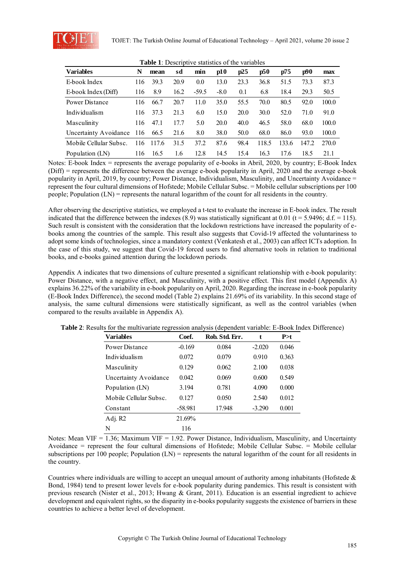

| <b>Variables</b>       | N   | mean  | sd   | min     | p10    | p25  | p50   | p75   | p90   | max   |
|------------------------|-----|-------|------|---------|--------|------|-------|-------|-------|-------|
| E-book Index           | 116 | 39.3  | 20.9 | 0.0     | 13.0   | 23.3 | 36.8  | 51.5  | 73.3  | 87.3  |
| E-book Index (Diff)    | 116 | 8.9   | 16.2 | $-59.5$ | $-8.0$ | 0.1  | 6.8   | 18.4  | 29.3  | 50.5  |
| Power Distance         | 116 | 66.7  | 20.7 | 11.0    | 35.0   | 55.5 | 70.0  | 80.5  | 92.0  | 100.0 |
| Individualism          | 116 | 37.3  | 21.3 | 6.0     | 15.0   | 20.0 | 30.0  | 52.0  | 71.0  | 91.0  |
| Masculinity            | 116 | 47.1  | 17.7 | 5.0     | 20.0   | 40.0 | 46.5  | 58.0  | 68.0  | 100.0 |
| Uncertainty Avoidance  | 116 | 66.5  | 21.6 | 8.0     | 38.0   | 50.0 | 68.0  | 86.0  | 93.0  | 100.0 |
| Mobile Cellular Subsc. | 116 | 117.6 | 31.5 | 37.2    | 87.6   | 98.4 | 118.5 | 133.6 | 147.2 | 270.0 |
| Population (LN)        | 116 | 16.5  | 1.6  | 12.8    | 14.5   | 15.4 | 16.3  | 17.6  | 18.5  | 21.1  |

**Table 1**: Descriptive statistics of the variables

(Diff) = represents the difference between the average e-book popularity in April, 2020 and the average e-book popularity in April, 2019, by country; Power Distance, Individualism, Masculinity, and Uncertainty Avoidance = represent the four cultural dimensions of Hofstede; Mobile Cellular Subsc. = Mobile cellular subscriptions per 100 people; Population (LN) = represents the natural logarithm of the count for all residents in the country.

After observing the descriptive statistics, we employed a t-test to evaluate the increase in E-book index. The result indicated that the difference between the indexes  $(8.9)$  was statistically significant at 0.01 (t = 5.9496; d.f. = 115). Such result is consistent with the consideration that the lockdown restrictions have increased the popularity of ebooks among the countries of the sample. This result also suggests that Covid-19 affected the voluntariness to adopt some kinds of technologies, since a mandatory context (Venkatesh et al., 2003) can affect ICTs adoption. In the case of this study, we suggest that Covid-19 forced users to find alternative tools in relation to traditional books, and e-books gained attention during the lockdown periods.

Appendix A indicates that two dimensions of culture presented a significant relationship with e-book popularity: Power Distance, with a negative effect, and Masculinity, with a positive effect. This first model (Appendix A) explains 36.22% of the variability in e-book popularity on April, 2020. Regarding the increase in e-book popularity (E-Book Index Difference), the second model (Table 2) explains 21.69% of its variability. In this second stage of analysis, the same cultural dimensions were statistically significant, as well as the control variables (when compared to the results available in Appendix A).

| <b>Variables</b>       | Coef.     | Rob. Std. Err. | t        | P > t |
|------------------------|-----------|----------------|----------|-------|
| Power Distance         | $-0.169$  | 0.084          | $-2.020$ | 0.046 |
| Individualism          | 0.072     | 0.079          | 0.910    | 0.363 |
| Masculinity            | 0.129     | 0.062          | 2.100    | 0.038 |
| Uncertainty Avoidance  | 0.042     | 0.069          | 0.600    | 0.549 |
| Population (LN)        | 3.194     | 0.781          | 4.090    | 0.000 |
| Mobile Cellular Subsc. | 0.127     | 0.050          | 2.540    | 0.012 |
| Constant               | $-58.981$ | 17.948         | $-3.290$ | 0.001 |
| Adj. R2                | 21.69%    |                |          |       |
| N                      | 116       |                |          |       |

**Table 2**: Results for the multivariate regression analysis (dependent variable: E-Book Index Difference)

Notes: Mean VIF =  $1.36$ ; Maximum VIF = 1.92. Power Distance, Individualism, Masculinity, and Uncertainty Avoidance = represent the four cultural dimensions of Hofstede; Mobile Cellular Subsc. = Mobile cellular subscriptions per 100 people; Population (LN) = represents the natural logarithm of the count for all residents in the country.

Countries where individuals are willing to accept an unequal amount of authority among inhabitants (Hofstede & Bond, 1984) tend to present lower levels for e-book popularity during pandemics. This result is consistent with previous research (Nister et al., 2013; Hwang & Grant, 2011). Education is an essential ingredient to achieve development and equivalent rights, so the disparity in e-books popularity suggests the existence of barriers in these countries to achieve a better level of development.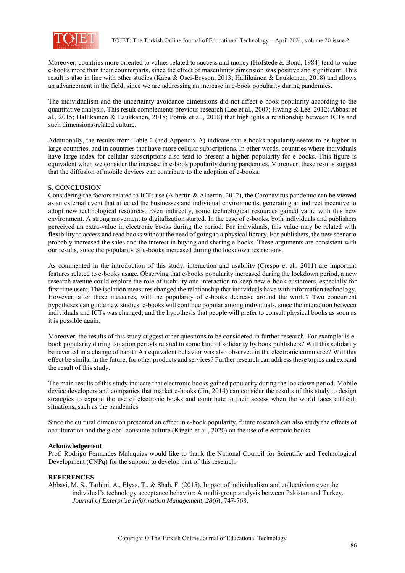

Moreover, countries more oriented to values related to success and money (Hofstede & Bond, 1984) tend to value e-books more than their counterparts, since the effect of masculinity dimension was positive and significant. This result is also in line with other studies (Kaba & Osei-Bryson, 2013; Hallikainen & Laukkanen, 2018) and allows an advancement in the field, since we are addressing an increase in e-book popularity during pandemics.

The individualism and the uncertainty avoidance dimensions did not affect e-book popularity according to the quantitative analysis. This result complements previous research (Lee et al., 2007; Hwang & Lee, 2012; Abbasi et al., 2015; Hallikainen & Laukkanen, 2018; Potnis et al., 2018) that highlights a relationship between ICTs and such dimensions-related culture.

Additionally, the results from Table 2 (and Appendix A) indicate that e-books popularity seems to be higher in large countries, and in countries that have more cellular subscriptions. In other words, countries where individuals have large index for cellular subscriptions also tend to present a higher popularity for e-books. This figure is equivalent when we consider the increase in e-book popularity during pandemics. Moreover, these results suggest that the diffusion of mobile devices can contribute to the adoption of e-books.

## **5. CONCLUSION**

Considering the factors related to ICTs use (Albertin & Albertin, 2012), the Coronavirus pandemic can be viewed as an external event that affected the businesses and individual environments, generating an indirect incentive to adopt new technological resources. Even indirectly, some technological resources gained value with this new environment. A strong movement to digitalization started. In the case of e-books, both individuals and publishers perceived an extra-value in electronic books during the period. For individuals, this value may be related with flexibility to access and read books without the need of going to a physical library. For publishers, the new scenario probably increased the sales and the interest in buying and sharing e-books. These arguments are consistent with our results, since the popularity of e-books increased during the lockdown restrictions.

As commented in the introduction of this study, interaction and usability (Crespo et al., 2011) are important features related to e-books usage. Observing that e-books popularity increased during the lockdown period, a new research avenue could explore the role of usability and interaction to keep new e-book customers, especially for first time users. The isolation measures changed the relationship that individuals have with information technology. However, after these measures, will the popularity of e-books decrease around the world? Two concurrent hypotheses can guide new studies: e-books will continue popular among individuals, since the interaction between individuals and ICTs was changed; and the hypothesis that people will prefer to consult physical books as soon as it is possible again.

Moreover, the results of this study suggest other questions to be considered in further research. For example: is ebook popularity during isolation periods related to some kind of solidarity by book publishers? Will this solidarity be reverted in a change of habit? An equivalent behavior was also observed in the electronic commerce? Will this effect be similar in the future, for other products and services? Further research can address these topics and expand the result of this study.

The main results of this study indicate that electronic books gained popularity during the lockdown period. Mobile device developers and companies that market e-books (Jin, 2014) can consider the results of this study to design strategies to expand the use of electronic books and contribute to their access when the world faces difficult situations, such as the pandemics.

Since the cultural dimension presented an effect in e-book popularity, future research can also study the effects of acculturation and the global consume culture (Kizgin et al., 2020) on the use of electronic books.

## **Acknowledgement**

Prof. Rodrigo Fernandes Malaquias would like to thank the National Council for Scientific and Technological Development (CNPq) for the support to develop part of this research.

## **REFERENCES**

Abbasi, M. S., Tarhini, A., Elyas, T., & Shah, F. (2015). Impact of individualism and collectivism over the individual's technology acceptance behavior: A multi-group analysis between Pakistan and Turkey. *Journal of Enterprise Information Management, 28*(6), 747-768.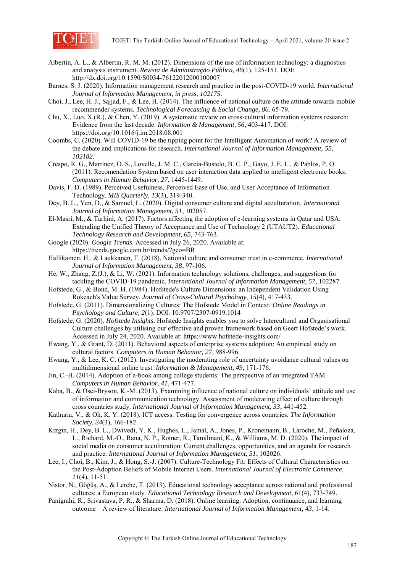

- Albertin, A. L., & Albertin, R. M. M. (2012). Dimensions of the use of information technology: a diagnostics and analysis instrument. *Revista de Administração Pública, 46*(1), 125-151. DOI: http://dx.doi.org/10.1590/S0034-76122012000100007
- Barnes, S. J. (2020). Information management research and practice in the post-COVID-19 world. *International Journal of Information Management, in press, 102175*.
- Choi, J., Lee, H. J., Sajjad, F., & Lee, H. (2014). The influence of national culture on the attitude towards mobile recommender systems. *Technological Forecasting & Social Change, 86*. 65-79.
- Chu, X., Luo, X.(R.), & Chen, Y. (2019). A systematic review on cross-cultural information systems research: Evidence from the last decade. *Information & Management, 56*, 403-417. DOI: https://doi.org/10.1016/j.im.2018.08.001
- Coombs, C. (2020). Will COVID-19 be the tipping point for the Intelligent Automation of work? A review of the debate and implications for research. *International Journal of Information Management, 55, 102182*.
- Crespo, R. G., Martínez, O. S., Lovelle, J. M. C., García-Bustelo, B. C. P., Gayo, J. E. L., & Pablos, P. O. (2011). Recomendation System based on user interaction data applied to intelligent electronic books. *Computers in Human Behavior, 27*, 1445-1449.
- Davis, F. D. (1989). Perceived Usefulness, Perceived Ease of Use, and User Acceptance of Information Technology. *MIS Quarterly, 13*(3), 319-340.
- Dey, B. L., Yen, D., & Samuel, L. (2020). Digital consumer culture and digital acculturation. *International Journal of Information Management, 51*, 102057.
- El-Masri, M., & Tarhini, A. (2017). Factors affecting the adoption of e-learning systems in Qatar and USA: Extending the Unified Theory of Acceptance and Use of Technology 2 (UTAUT2). *Educational Technology Research and Development, 65*, 743-763.
- Google (2020). *Google Trends*. Accessed in July 26, 2020. Available at: https://trends.google.com.br/trends/?geo=BR
- Hallikainen, H., & Laukkanen, T. (2018). National culture and consumer trust in e-commerce. *International Journal of Information Management, 38*, 97-106.
- He, W., Zhang, Z.(J.), & Li, W. (2021). Information technology solutions, challenges, and suggestions for tackling the COVID-19 pandemic. *International Journal of Information Management, 57*, 102287.
- Hofstede, G., & Bond, M. H. (1984). Hofstede's Culture Dimensions: an Independent Validation Using Rokeach's Value Survey. *Journal of Cross-Cultural Psychology, 15*(4), 417-433.
- Hofstede, G. (2011). Dimensionalizing Cultures: The Hofstede Model in Context. *Online Readings in Psychology and Culture, 2*(1). DOI: 10.9707/2307-0919.1014
- Hofstede, G. (2020). *Hofstede Insights*. Hofstede Insights enables you to solve Intercultural and Organisational Culture challenges by utilising our effective and proven framework based on Geert Hofstede's work. Accessed in July 24, 2020. Available at: https://www.hofstede-insights.com/
- Hwang, Y., & Grant, D. (2011). Behavioral aspects of enterprise systems adoption: An empirical study on cultural factors. *Computers in Human Behavior, 27*, 988-996.
- Hwang, Y., & Lee, K. C. (2012). Investigating the moderating role of uncertainty avoidance cultural values on multidimensional online trust. *Information & Management, 49*, 171-176.
- Jin, C.-H. (2014). Adoption of e-book among college students: The perspective of an integrated TAM. *Computers in Human Behavior, 41*, 471-477.
- Kaba, B., & Osei-Bryson, K.-M. (2013). Examining influence of national culture on individuals' attitude and use of information and communication technology: Assessment of moderating effect of culture through cross countries study. *International Journal of Information Management, 33*, 441-452.
- Kathuria, V., & Oh, K. Y. (2018). ICT access: Testing for convergence across countries. *The Information Society, 34*(3), 166-182.
- Kizgin, H., Dey, B. L., Dwivedi, Y. K., Hughes, L., Jamal, A., Jones, P., Kronemann, B., Laroche, M., Peñaloza, L., Richard, M.-O., Rana, N. P., Romer, R., Tamilmani, K., & Williams, M. D. (2020). The impact of social media on consumer acculturation: Current challenges, opportunities, and an agenda for research and practice. *International Journal of Information Management, 51*, 102026.
- Lee, I., Choi, B., Kim, J., & Hong, S.-J. (2007). Culture-Technology Fit: Effects of Cultural Characteristics on the Post-Adoption Beliefs of Mobile Internet Users. *International Journal of Electronic Commerce, 11*(4), 11-51.
- Nistor, N., Göğüş, A., & Lerche, T. (2013). Educational technology acceptance across national and professional cultures: a European study. *Educational Technology Research and Development*, 61(4), 733-749.
- Panigrahi, R., Srivastava, P. R., & Sharma, D. (2018). Online learning: Adoption, continuance, and learning outcome – A review of literature. *International Journal of Information Management, 43*, 1-14.